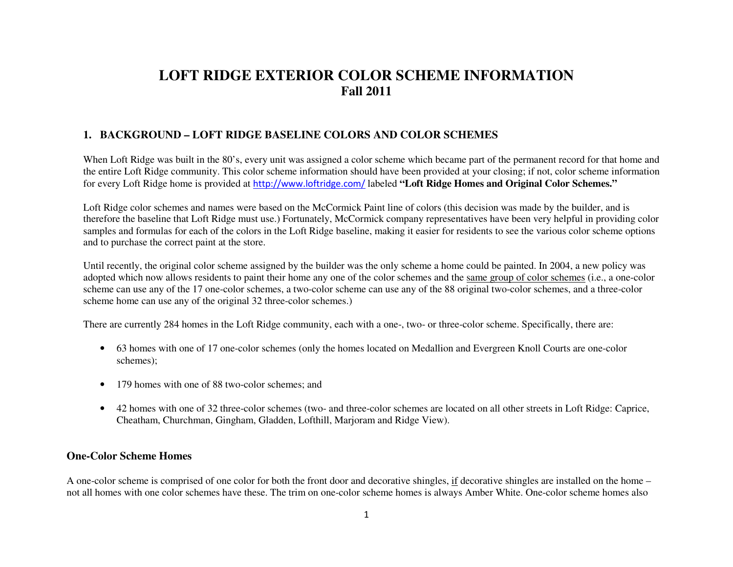# **LOFT RIDGE EXTERIOR COLOR SCHEME INFORMATION Fall 2011**

## **1. BACKGROUND – LOFT RIDGE BASELINE COLORS AND COLOR SCHEMES**

When Loft Ridge was built in the 80's, every unit was assigned a color scheme which became part of the permanent record for that home and the entire Loft Ridge community. This color scheme information should have been provided at your closing; if not, color scheme information for every Loft Ridge home is provided at [http://www.loftridge.com/](http://www.loftridge.com/community/community-rules/) labeled **"Loft Ridge Homes and Original Color Schemes."** 

Loft Ridge color schemes and names were based on the McCormick Paint line of colors (this decision was made by the builder, and is therefore the baseline that Loft Ridge must use.) Fortunately, McCormick company representatives have been very helpful in providing color samples and formulas for each of the colors in the Loft Ridge baseline, making it easier for residents to see the various color scheme options and to purchase the correct paint at the store.

Until recently, the original color scheme assigned by the builder was the only scheme a home could be painted. In 2004, a new policy was adopted which now allows residents to paint their home any one of the color schemes and the same group of color schemes (i.e., a one-color scheme can use any of the 17 one-color schemes, a two-color scheme can use any of the 88 original two-color schemes, and a three-color scheme home can use any of the original 32 three-color schemes.)

There are currently 284 homes in the Loft Ridge community, each with a one-, two- or three-color scheme. Specifically, there are:

- 63 homes with one of 17 one-color schemes (only the homes located on Medallion and Evergreen Knoll Courts are one-color schemes);
- 179 homes with one of 88 two-color schemes; and
- 42 homes with one of 32 three-color schemes (two- and three-color schemes are located on all other streets in Loft Ridge: Caprice, Cheatham, Churchman, Gingham, Gladden, Lofthill, Marjoram and Ridge View).

#### **One-Color Scheme Homes**

A one-color scheme is comprised of one color for both the front door and decorative shingles, if decorative shingles are installed on the home – not all homes with one color schemes have these. The trim on one-color scheme homes is always Amber White. One-color scheme homes also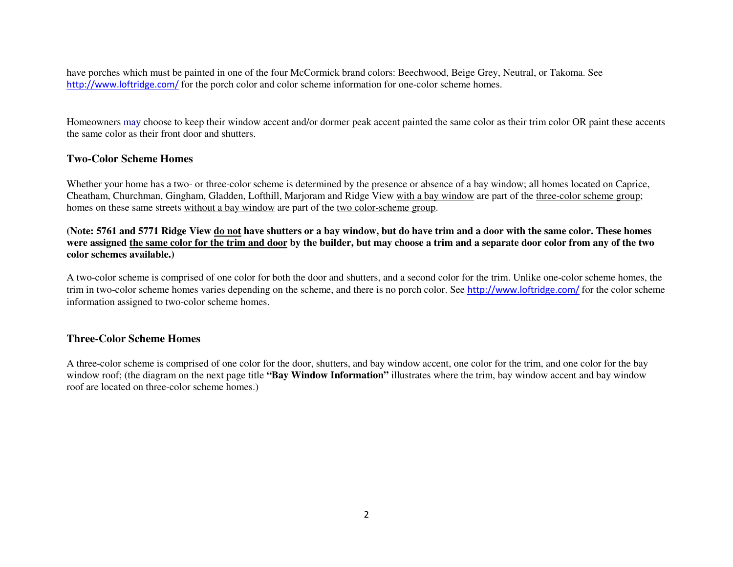have porches which must be painted in one of the four McCormick brand colors: Beechwood, Beige Grey, Neutral, or Takoma. See [http://www.loftridge.com/](http://www.loftridge.com/?ddownload=187) for the porch color and color scheme information for one-color scheme homes.

Homeowners may choose to keep their window accent and/or dormer peak accent painted the same color as their trim color OR paint these accents the same color as their front door and shutters.

### **Two-Color Scheme Homes**

Whether your home has a two- or three-color scheme is determined by the presence or absence of a bay window; all homes located on Caprice, Cheatham, Churchman, Gingham, Gladden, Lofthill, Marjoram and Ridge View with a bay window are part of the three-color scheme group; homes on these same streets without a bay window are part of the two color-scheme group.

**(Note: 5761 and 5771 Ridge View do not have shutters or a bay window, but do have trim and a door with the same color. These homes were assigned the same color for the trim and door by the builder, but may choose a trim and a separate door color from any of the two color schemes available.)**

A two-color scheme is comprised of one color for both the door and shutters, and a second color for the trim. Unlike one-color scheme homes, the trim in two-color scheme homes varies depending on the scheme, and there is no porch color. See [http://www.loftridge.com/](http://www.loftridge.com/?ddownload=186) for the color scheme information assigned to two-color scheme homes.

#### **Three-Color Scheme Homes**

A three-color scheme is comprised of one color for the door, shutters, and bay window accent, one color for the trim, and one color for the bay window roof; (the diagram on the next page title **"Bay Window Information"** illustrates where the trim, bay window accent and bay window roof are located on three-color scheme homes.)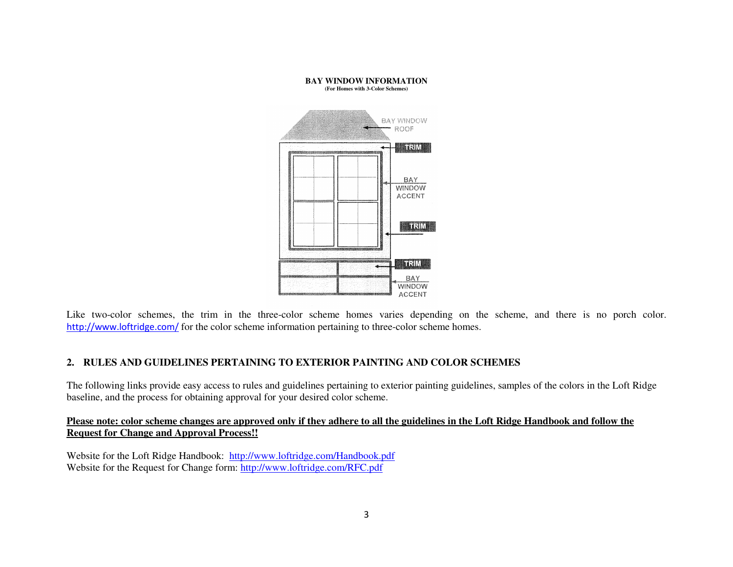

Like two-color schemes, the trim in the three-color scheme homes varies depending on the scheme, and there is no porch color. [http://www.loftridge.com/](http://www.loftridge.com/?ddownload=1110) for the color scheme information pertaining to three-color scheme homes.

## **2. RULES AND GUIDELINES PERTAINING TO EXTERIOR PAINTING AND COLOR SCHEMES**

The following links provide easy access to rules and guidelines pertaining to exterior painting guidelines, samples of the colors in the Loft Ridge baseline, and the process for obtaining approval for your desired color scheme.

#### **Please note: color scheme changes are approved only if they adhere to all the guidelines in the Loft Ridge Handbook and follow the Request for Change and Approval Process!!**

Website for the Loft Ridge Handbook: [http://www.loftridge.com/Handbook.pdf](http://www.loftridge.com/?ddownload=143)Website for the Request for Change form: [http://www.loftridge.com/RFC.pdf](http://www.loftridge.com/?ddownload=146)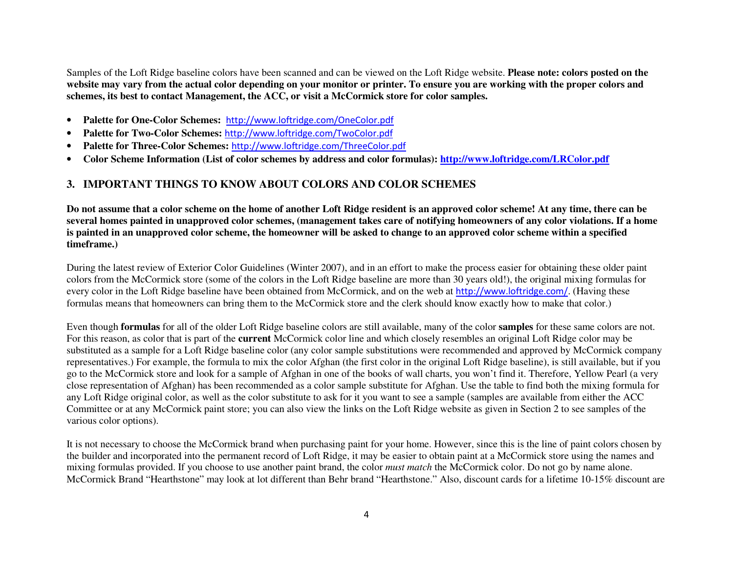Samples of the Loft Ridge baseline colors have been scanned and can be viewed on the Loft Ridge website. **Please note: colors posted on the website may vary from the actual color depending on your monitor or printer. To ensure you are working with the proper colors and schemes, its best to contact Management, the ACC, or visit a McCormick store for color samples.** 

- •**Palette for One-Color Schemes:** [http://www.loftridge.com/OneColor.pdf](http://www.loftridge.com/?ddownload=187)
- •**Palette for Two-Color Schemes:** [http://www.loftridge.com/TwoColor.pdf](http://www.loftridge.com/?ddownload=186)
- •**Palette for Three-Color Schemes:** [http://www.loftridge.com/ThreeColor.pdf](http://www.loftridge.com/?ddownload=1110)
- •**Color Scheme Information (List of color schemes by address and color formulas): [http://www.loftridge.com/LRColor.pdf](http://www.loftridge.com/?ddownload=2112)**

## **3. IMPORTANT THINGS TO KNOW ABOUT COLORS AND COLOR SCHEMES**

**Do not assume that a color scheme on the home of another Loft Ridge resident is an approved color scheme! At any time, there can be several homes painted in unapproved color schemes, (management takes care of notifying homeowners of any color violations. If a home is painted in an unapproved color scheme, the homeowner will be asked to change to an approved color scheme within a specified timeframe.)** 

During the latest review of Exterior Color Guidelines (Winter 2007), and in an effort to make the process easier for obtaining these older paint colors from the McCormick store (some of the colors in the Loft Ridge baseline are more than 30 years old!), the original mixing formulas for every color in the Loft Ridge baseline have been obtained from McCormick, and on the web at [http://www.loftridge.com/](http://www.loftridge.com/?ddownload=2113). (Having these formulas means that homeowners can bring them to the McCormick store and the clerk should know exactly how to make that color.)

Even though **formulas** for all of the older Loft Ridge baseline colors are still available, many of the color **samples** for these same colors are not. For this reason, as color that is part of the **current** McCormick color line and which closely resembles an original Loft Ridge color may be substituted as a sample for a Loft Ridge baseline color (any color sample substitutions were recommended and approved by McCormick company representatives.) For example, the formula to mix the color Afghan (the first color in the original Loft Ridge baseline), is still available, but if you go to the McCormick store and look for a sample of Afghan in one of the books of wall charts, you won't find it. Therefore, Yellow Pearl (a very close representation of Afghan) has been recommended as a color sample substitute for Afghan. Use the table to find both the mixing formula for any Loft Ridge original color, as well as the color substitute to ask for it you want to see a sample (samples are available from either the ACC Committee or at any McCormick paint store; you can also view the links on the Loft Ridge website as given in Section 2 to see samples of the various color options).

It is not necessary to choose the McCormick brand when purchasing paint for your home. However, since this is the line of paint colors chosen by the builder and incorporated into the permanent record of Loft Ridge, it may be easier to obtain paint at a McCormick store using the names and mixing formulas provided. If you choose to use another paint brand, the color *must match* the McCormick color. Do not go by name alone. McCormick Brand "Hearthstone" may look at lot different than Behr brand "Hearthstone." Also, discount cards for a lifetime 10-15% discount are